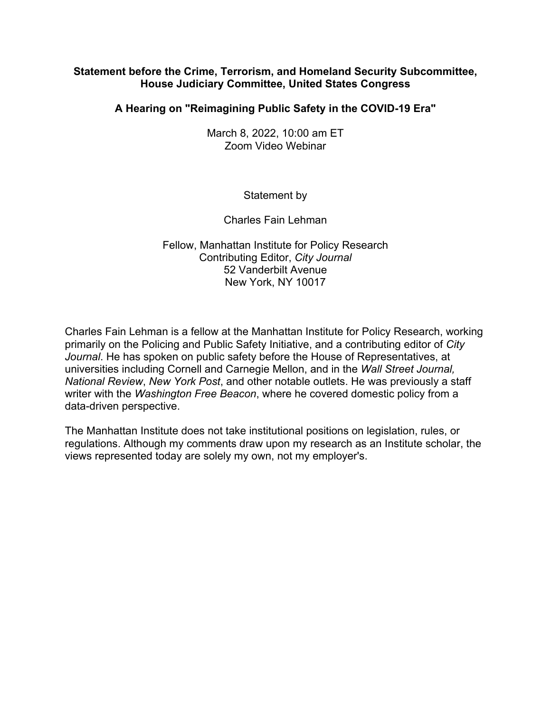## **Statement before the Crime, Terrorism, and Homeland Security Subcommittee, House Judiciary Committee, United States Congress**

## **A Hearing on "Reimagining Public Safety in the COVID-19 Era"**

March 8, 2022, 10:00 am ET Zoom Video Webinar

# Statement by

# Charles Fain Lehman

Fellow, Manhattan Institute for Policy Research Contributing Editor, *City Journal* 52 Vanderbilt Avenue New York, NY 10017

Charles Fain Lehman is a fellow at the Manhattan Institute for Policy Research, working primarily on the Policing and Public Safety Initiative, and a contributing editor of *City Journal*. He has spoken on public safety before the House of Representatives, at universities including Cornell and Carnegie Mellon, and in the *Wall Street Journal, National Review*, *New York Post*, and other notable outlets. He was previously a staff writer with the *Washington Free Beacon*, where he covered domestic policy from a data-driven perspective.

The Manhattan Institute does not take institutional positions on legislation, rules, or regulations. Although my comments draw upon my research as an Institute scholar, the views represented today are solely my own, not my employer's.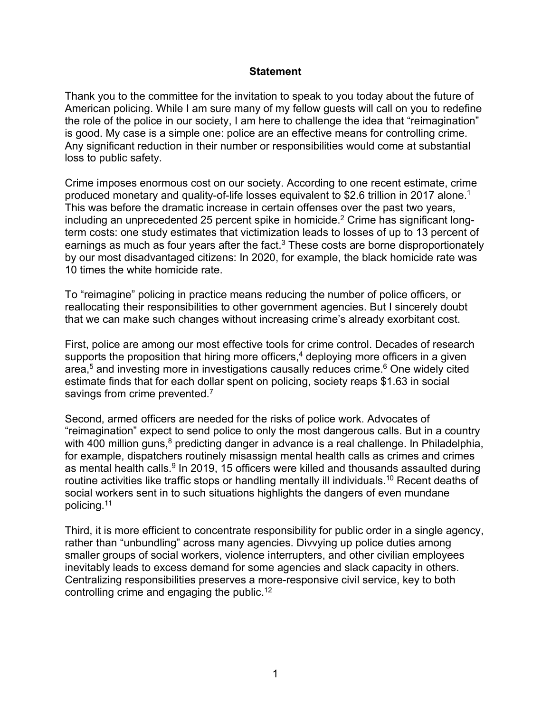### **Statement**

Thank you to the committee for the invitation to speak to you today about the future of American policing. While I am sure many of my fellow guests will call on you to redefine the role of the police in our society, I am here to challenge the idea that "reimagination" is good. My case is a simple one: police are an effective means for controlling crime. Any significant reduction in their number or responsibilities would come at substantial loss to public safety.

Crime imposes enormous cost on our society. According to one recent estimate, crime produced monetary and quality-of-life losses equivalent to \$2.6 trillion in 2017 alone.<sup>1</sup> This was before the dramatic increase in certain offenses over the past two years, including an unprecedented 25 percent spike in homicide.<sup>2</sup> Crime has significant longterm costs: one study estimates that victimization leads to losses of up to 13 percent of earnings as much as four years after the fact. $3$  These costs are borne disproportionately by our most disadvantaged citizens: In 2020, for example, the black homicide rate was 10 times the white homicide rate.

To "reimagine" policing in practice means reducing the number of police officers, or reallocating their responsibilities to other government agencies. But I sincerely doubt that we can make such changes without increasing crime's already exorbitant cost.

First, police are among our most effective tools for crime control. Decades of research supports the proposition that hiring more officers, $4$  deploying more officers in a given area,<sup>5</sup> and investing more in investigations causally reduces crime.<sup>6</sup> One widely cited estimate finds that for each dollar spent on policing, society reaps \$1.63 in social savings from crime prevented.<sup>7</sup>

Second, armed officers are needed for the risks of police work. Advocates of "reimagination" expect to send police to only the most dangerous calls. But in a country with 400 million guns, $8$  predicting danger in advance is a real challenge. In Philadelphia, for example, dispatchers routinely misassign mental health calls as crimes and crimes as mental health calls. $9$  In 2019, 15 officers were killed and thousands assaulted during routine activities like traffic stops or handling mentally ill individuals.<sup>10</sup> Recent deaths of social workers sent in to such situations highlights the dangers of even mundane policing.11

Third, it is more efficient to concentrate responsibility for public order in a single agency, rather than "unbundling" across many agencies. Divvying up police duties among smaller groups of social workers, violence interrupters, and other civilian employees inevitably leads to excess demand for some agencies and slack capacity in others. Centralizing responsibilities preserves a more-responsive civil service, key to both controlling crime and engaging the public.<sup>12</sup>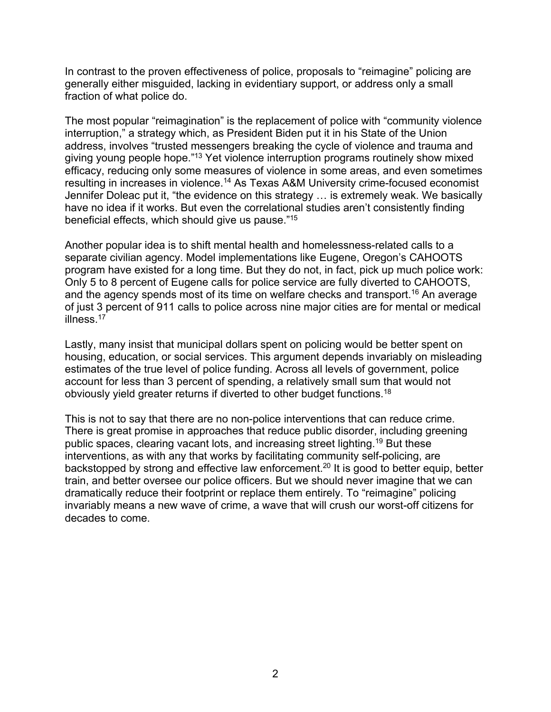In contrast to the proven effectiveness of police, proposals to "reimagine" policing are generally either misguided, lacking in evidentiary support, or address only a small fraction of what police do.

The most popular "reimagination" is the replacement of police with "community violence interruption," a strategy which, as President Biden put it in his State of the Union address, involves "trusted messengers breaking the cycle of violence and trauma and giving young people hope." <sup>13</sup> Yet violence interruption programs routinely show mixed efficacy, reducing only some measures of violence in some areas, and even sometimes resulting in increases in violence.<sup>14</sup> As Texas A&M University crime-focused economist Jennifer Doleac put it, "the evidence on this strategy … is extremely weak. We basically have no idea if it works. But even the correlational studies aren't consistently finding beneficial effects, which should give us pause."<sup>15</sup>

Another popular idea is to shift mental health and homelessness-related calls to a separate civilian agency. Model implementations like Eugene, Oregon's CAHOOTS program have existed for a long time. But they do not, in fact, pick up much police work: Only 5 to 8 percent of Eugene calls for police service are fully diverted to CAHOOTS, and the agency spends most of its time on welfare checks and transport.<sup>16</sup> An average of just 3 percent of 911 calls to police across nine major cities are for mental or medical illness.17

Lastly, many insist that municipal dollars spent on policing would be better spent on housing, education, or social services. This argument depends invariably on misleading estimates of the true level of police funding. Across all levels of government, police account for less than 3 percent of spending, a relatively small sum that would not obviously yield greater returns if diverted to other budget functions.18

This is not to say that there are no non-police interventions that can reduce crime. There is great promise in approaches that reduce public disorder, including greening public spaces, clearing vacant lots, and increasing street lighting.19 But these interventions, as with any that works by facilitating community self-policing, are backstopped by strong and effective law enforcement.<sup>20</sup> It is good to better equip, better train, and better oversee our police officers. But we should never imagine that we can dramatically reduce their footprint or replace them entirely. To "reimagine" policing invariably means a new wave of crime, a wave that will crush our worst-off citizens for decades to come.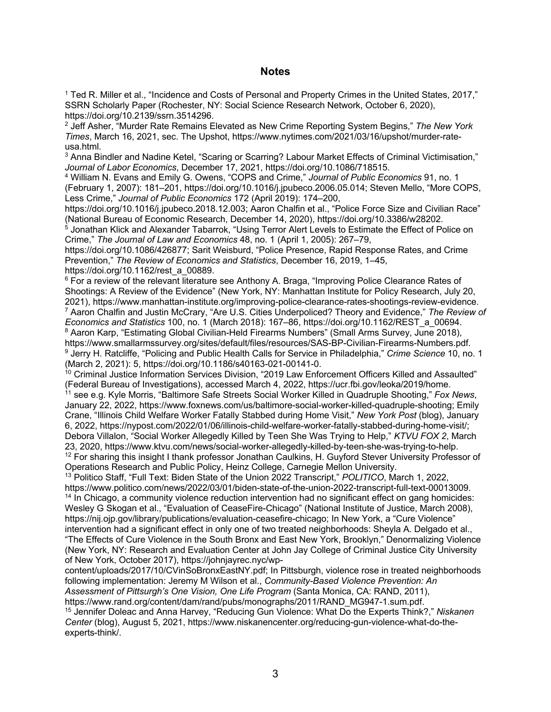#### **Notes**

<sup>1</sup> Ted R. Miller et al., "Incidence and Costs of Personal and Property Crimes in the United States, 2017," SSRN Scholarly Paper (Rochester, NY: Social Science Research Network, October 6, 2020), https://doi.org/10.2139/ssrn.3514296.

<sup>2</sup> Jeff Asher, "Murder Rate Remains Elevated as New Crime Reporting System Begins," *The New York Times*, March 16, 2021, sec. The Upshot, https://www.nytimes.com/2021/03/16/upshot/murder-rateusa.html.

<sup>3</sup> Anna Bindler and Nadine Ketel, "Scaring or Scarring? Labour Market Effects of Criminal Victimisation," *Journal of Labor Economics*, December 17, 2021, https://doi.org/10.1086/718515.

<sup>4</sup> William N. Evans and Emily G. Owens, "COPS and Crime," *Journal of Public Economics* 91, no. 1 (February 1, 2007): 181–201, https://doi.org/10.1016/j.jpubeco.2006.05.014; Steven Mello, "More COPS, Less Crime," *Journal of Public Economics* 172 (April 2019): 174–200,

https://doi.org/10.1016/j.jpubeco.2018.12.003; Aaron Chalfin et al., "Police Force Size and Civilian Race" (National Bureau of Economic Research, December 14, 2020), https://doi.org/10.3386/w28202.

<sup>5</sup> Jonathan Klick and Alexander Tabarrok, "Using Terror Alert Levels to Estimate the Effect of Police on Crime," *The Journal of Law and Economics* 48, no. 1 (April 1, 2005): 267–79,

https://doi.org/10.1086/426877; Sarit Weisburd, "Police Presence, Rapid Response Rates, and Crime Prevention," *The Review of Economics and Statistics*, December 16, 2019, 1–45, https://doi.org/10.1162/rest\_a\_00889.

 $6$  For a review of the relevant literature see Anthony A. Braga, "Improving Police Clearance Rates of Shootings: A Review of the Evidence" (New York, NY: Manhattan Institute for Policy Research, July 20, 2021), https://www.manhattan-institute.org/improving-police-clearance-rates-shootings-review-evidence. <sup>7</sup> Aaron Chalfin and Justin McCrary, "Are U.S. Cities Underpoliced? Theory and Evidence," *The Review of Economics and Statistics* 100, no. 1 (March 2018): 167–86, https://doi.org/10.1162/REST\_a\_00694. <sup>8</sup> Aaron Karp, "Estimating Global Civilian-Held Firearms Numbers" (Small Arms Survey, June 2018), https://www.smallarmssurvey.org/sites/default/files/resources/SAS-BP-Civilian-Firearms-Numbers.pdf. <sup>9</sup> Jerry H. Ratcliffe, "Policing and Public Health Calls for Service in Philadelphia," *Crime Science* 10, no. 1 (March 2, 2021): 5, https://doi.org/10.1186/s40163-021-00141-0.

<sup>10</sup> Criminal Justice Information Services Division, "2019 Law Enforcement Officers Killed and Assaulted" (Federal Bureau of Investigations), accessed March 4, 2022, https://ucr.fbi.gov/leoka/2019/home.

<sup>11</sup> see e.g. Kyle Morris, "Baltimore Safe Streets Social Worker Killed in Quadruple Shooting," *Fox News*, January 22, 2022, https://www.foxnews.com/us/baltimore-social-worker-killed-quadruple-shooting; Emily Crane, "Illinois Child Welfare Worker Fatally Stabbed during Home Visit," *New York Post* (blog), January 6, 2022, https://nypost.com/2022/01/06/illinois-child-welfare-worker-fatally-stabbed-during-home-visit/; Debora Villalon, "Social Worker Allegedly Killed by Teen She Was Trying to Help," *KTVU FOX 2*, March 23, 2020, https://www.ktvu.com/news/social-worker-allegedly-killed-by-teen-she-was-trying-to-help.

<sup>12</sup> For sharing this insight I thank professor Jonathan Caulkins, H. Guyford Stever University Professor of Operations Research and Public Policy, Heinz College, Carnegie Mellon University.

<sup>13</sup> Politico Staff, "Full Text: Biden State of the Union 2022 Transcript," *POLITICO*, March 1, 2022, https://www.politico.com/news/2022/03/01/biden-state-of-the-union-2022-transcript-full-text-00013009. <sup>14</sup> In Chicago, a community violence reduction intervention had no significant effect on gang homicides: Wesley G Skogan et al., "Evaluation of CeaseFire-Chicago" (National Institute of Justice, March 2008), https://nij.ojp.gov/library/publications/evaluation-ceasefire-chicago; In New York, a "Cure Violence" intervention had a significant effect in only one of two treated neighborhoods: Sheyla A. Delgado et al., "The Effects of Cure Violence in the South Bronx and East New York, Brooklyn," Denormalizing Violence (New York, NY: Research and Evaluation Center at John Jay College of Criminal Justice City University of New York, October 2017), https://johnjayrec.nyc/wp-

content/uploads/2017/10/CVinSoBronxEastNY.pdf; In Pittsburgh, violence rose in treated neighborhoods following implementation: Jeremy M Wilson et al., *Community-Based Violence Prevention: An Assessment of Pittsurgh's One Vision, One Life Program* (Santa Monica, CA: RAND, 2011), https://www.rand.org/content/dam/rand/pubs/monographs/2011/RAND\_MG947-1.sum.pdf.

<sup>15</sup> Jennifer Doleac and Anna Harvey, "Reducing Gun Violence: What Do the Experts Think?," *Niskanen Center* (blog), August 5, 2021, https://www.niskanencenter.org/reducing-gun-violence-what-do-theexperts-think/.